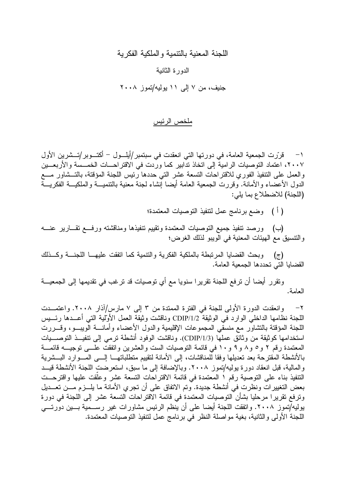### اللجنة المعنية بالتنمية و الملكية الفكر ية

#### الدور ة الثانية

جنيف، من ٧ إلى ١١ يوليه/تموز ٢٠٠٨

#### ملخص الرئيس

١− قرَّرت الجمعية العامة، في دورتها التي انعقدت في سبتمبر/أيلـــول – أكتـــوبر/تـــشرين الأول ٢٠٠٧، اعتماد التوصيات الرامية إلى اتخاذ تدابير كما وردت في الاقتراحـــات الخمـــسة والأربعـــين والعمل على النتفيذ الفوري للاقتراحات التسعة عشر التي حددها رئيس اللجنة المؤقتة، بالتــشاور مـــع الدول الأعضاء والأمانة. وقررت الجمعية العامة أيضا إنشاء لجنة معنية بالتنميـــة والملكيـــة الفكريـــة (اللجنة) للاضطلاع بما يلي:

( أ ) وضع برنامج عمل لتنفيذ التوصيات المعتمدة؛

(ب) ورصد تنفيذ جميع التوصيات المعتمدة وتقييم تنفيذها ومناقشته ورفع تقــارير عنـــه والنتسبق مع الهيئات المعنية في الويبو لذلك الغرض؛

(ج) وبحث القضايا المرتبطة بالملكية الفكرية والنتمية كما انفقت عليهـــا اللجنـــة وكـــذلك القضبايا التي تحددها الجمعية العامة.

ونقرر أيضا أن ترفع اللجنة تقريرا سنويا مع أي توصيات قد ترغب في تقديمها إلى الجمعيـــة العامة.

وانعقدت الدورة الأولى للجنة في الفترة الممتدة من ٣ إلى ٧ مارس/أذار ٢٠٠٨. واعتمــدت  $-\tau$ اللجنة نظامها الداخلي الوارد في الوثيقة CDIP/1/2 وناقشت وثيقة العمل الأولية التي أعــدها رئـــيس اللجنة المؤقتة بالتشاور مع منسقى المجموعات الإقليمية والدول الأعضاء وأمانسة الويبسو، وقسررت استخدامها كوثيقة من وثائق عملها (CDIP/1/3). وناقشت الوفود أنشطة ترمي إلى تتفيــذ التوصــــيات المعتمدة رقم ٢ و٥ و٨ و ٩ و ١٠ في قائمة التوصيات الست والعشرين واتفقت علــي توجيـــه قائمـــة بالأنشطة المقترحة بعد تعديلها وفقا للمناقشات، إلى الأمانة لتقييم متطلباتهــا إلـــي المـــوارد البـــشرية والمالية، قبل انعقاد دورة يوليه/تموز ٢٠٠٨. وبالإضافة إلى ما سبق، استعرضت اللجنة الأنشطة قيــد النتفيذ بناء على التوصية رقم ١ المعتمدة في قائمة الاقتراحات التسعة عشر وعلقت عليها واقترحت بعض التغييرات ونظرت في أنشطة جديدة. وتم الاتفاق على أن تجري الأمانة ما يلـــزم مـــن تعـــديل وترفع تقريرا مرحليا بشأن التوصيات المعتمدة في قائمة الاقتراحات التسعة عشر إلى اللجنة في دورة يوليه/تموز ٢٠٠٨. واتفقت اللجنة أيضا على أن ينظم الرئيس مشاورات غير رســـمية بـــين دورتـــي اللجنة الأولى والثانية، بغية مواصلة النظر في برنامج عمل لتتفيذ التوصيات المعتمدة.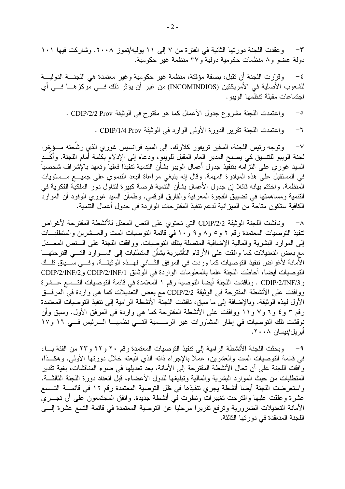وعقدت اللجنة دورتها الثانية في الفترة من ٧ إلى ١١ يوليه/تموز ٢٠٠٨. وشاركت فيها ١٠١  $-{\bf r}$ دولة عضو و٨ منظمات حكومية دولية و٣٧ منظمة غير حكومية.

وقرَّرت اللجنة أن نقبل، بصفة مؤقتة، منظمة غير حكومية وغير معتمدة هي اللجنــــة الدوليــــة  $-\epsilon$ للشعوب الأصلية في الأمريكتين (INCOMINDIOS) من غير أن يؤثر ذلك فــي مركز هـــا فـــي أي اجتماعات مقبلة نتظمها الويبو .

واعتمدت اللجنة مشروع جدول الأعمال كما هو مقترح في الوثيقة CDIP/2/2 Prov .  $-\circ$ 

> واعتمدت اللجنة تقرير الدورة الأولى الوارد في الوثيقة CDIP/1/4 Prov .  $-\mathbf{7}$

وتوجه رئيس اللجنة، السفير تريفور كلارك، إلى السيد فرانسيس غوري الذي رشحته مـــؤخرا  $-\vee$ لجنة الويبو للتتسيق كي يصبح المدير العام المقبل للويبو ، ودعاه إلى الإدلاء بكلمة أمام اللجنة. وأكَّــد السيد غوري على النزامه بنتفيذ جدول أعمال الويبو بشأن النتمية نتفيذا فعلياً ونعهد بالإشراف شخصياً في المستقبل على هذه المبادرة المهمة. وقال إنه ينبغي مراعاة البعد التنموي على جميع مــستويات المُنظمة. واختتم بيانه قائلا إن جدول الأعمال بشأن التتمية فرصة كبيرة لتتاول دور الملكية الفكرية في النتمية ومساهمتها في تضبيق الفجوة المعرفية والفارق الرقمي. وطمأن السيد غوري الوفود أن الموارد الكافية ستكون متاحة من الميز انية لدعم تنفيذ المقتر حات الو ار دة في جدول أعمال التنمية.

٨− وناقشت اللجنة الوثيقة 2/2/DIP التي تحتوي على النص المعدّل للأنشطة المقترحة لأغراض نتفيذ التوصيات المعتمدة رقم ٢ و ٥ و ٨ و ١٠ في قائمة التوصيات الست والعــشرين والمتطلبــات إلى الموارد البشرية والمالية الإضافية المتصلة بتلك التوصيات. ووافقت اللجنة على السنص المعــدل مع بعض التعديلات كما وإفقت على الأرقام التأشيرية بشأن المتطلبات إلى المسـوارد التسـى اقترحتهـــا الأمانة لأغراض نتفيذ التوصيات كما وردت في المرفق الثـــاني لمهـــذه الوثيقـــة. وفـــي ســـياق نلـــك التوصيات أيضا، أحاطت اللجنة علما بالمعلومات الواردة في الوثائق CDIP/2/INF/1 وCDIP/2/INF/2 و CDIP/2/INF/3 . وناقشت اللجنة أيضا التوصية رقم ١ المعتمدة في قائمة التوصيات التـــسع عـــشرة ووافقت على الأنشطة المقترحة في الوثيقة CDIP/2/2 مع بعض التعديلات كما هي واردة في المرفــق الأول لهذه الوثيقة. وبالإضافة إلى ما سبق، ناقشت اللجنة الأنشطة الرامية إلى تنفيذ التوصيات المعتمدة رقم ٣ و ٤ و ٦ و ٧ و ١١ ووافقت على الأنشطة المقترحة كما هي واردة في المرفق الأول. وسبق وأن نوفشت تلك التوصيات في إطار المشاورات غير الرسـمية التـــي نظمهــا الـــرئيس فـــي ١٦ و١٧ أبر يل/نيسان ٢٠٠٨.

٩– وبحثت اللجنة الأنشطة الرامية إلى نتفيذ النوصيات المعتمدة رقم ٢٠ و ٢٢ و ٢٣ من الفئة بـــاء في قائمة التوصيات الست والعشرين، عملا بالإجراء ذاته الذي اتبعته خلال دورتها الأولى. وهكــذا، وافقت اللجنة على أن تحال الأنشطة المقترحة إلى الأمانة، بعد تعديلها في ضوء المناقشات، بغية تقدير المتطلبات من حيث الموارد البشرية والمالية وتبليغها للدول الأعضاء، قبل انعقاد دورة اللجنة الثالثـــة. واستعرضت اللجنة أيضا أنشطة يجري تنفيذها في ظل التوصية المعتمدة رقم ١٢ في قائمــــة التـــسع عشرة وعلقت عليها واقترحت تغييرات ونظرت في أنشطة جديدة. واتفق المجتمعون على أن تجـــرى الأمانة التعديلات الضرورية وترفع نقريرا مرحليا عن التوصية المعتمدة في قائمة التسع عشرة إلـــي اللجنة المنعقدة في دور تها الثالثة.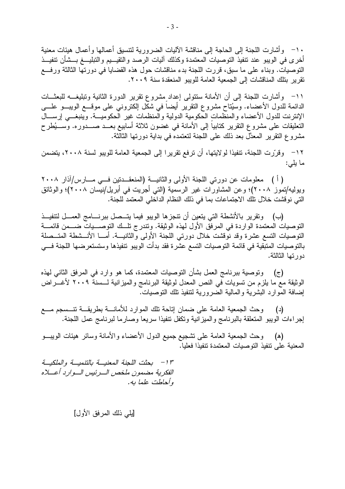١٠– وأشارت اللجنة إلى الحاجة إلى مناقشة الآليات الضرورية لتتسيق أعمالها وأعمال هيئات معنية أخرى في الويبو عند نتفيذ التوصيات المعتمدة وكذلك آليات الرصد والتقيـــيم والتبليــــغ بـــشأن نتفيـــذ النوصيات. وبناء على ما سبق، قررت اللجنة بدء مناقشات حول هذه القضايا في دورتها الثالثة ورفـــع نقرير بِتلك المناقشات إلى الجمعية العامة للويبو المنعقدة سنة ٢٠٠٩.

١١– وأشارت اللجنة إلى أن الأمانة ستتولى إعداد مشروع نقرير الدورة الثانية وتبليغـــه للبعثـــات الدائمة للدول الأعضاء. وسيُتاح مشروع النقرير أيضاً في شكل الكترونـي علـى موقـــع الويبـــو علــــى الإنترنت للدول الأعضاء والمنظمات الحكومية الدولية والمنظمات غير الحكوميـــة. وينبغـــي إرســـال النعليقات على مشروع النقرير كنابيا إلى الأمانة في غضون ثلاثة أسابيع بعــد صـــدوره. وســـيُطرح مشر و ع النقر ير المعدَّل بعد ذلك على اللجنة لتعتمده في بداية دور تها الثالثة.

١٢– وقرَّرت اللجنة، تنفيذا لولايتها، أن ترفع تقريرا إلى الجمعية العامة للويبو لسنة ٢٠٠٨، يتضمن ما يلي:

( أ ) معلومات عن دورتي اللجنة الأولى والثانيـــة (المنعقـــدتين فـــي مـــارس/آذار ٢٠٠٨ ويوليه/نموز ٢٠٠٨)؛ وعن المشاورات غير الرسمية (التي أجريت في أبريل/نيسان ٢٠٠٨)؛ والوثائق التي نوقشت خلال تلك الاجتماعات بما في ذلك النظام الداخلي المعتمد للجنة.

(ب) ونقرير بالأنشطة التي يتعين أن نتجزها الويبو فيما يتــصل ببرنــــامج العمـــل لتتفيـــذ التوصيات المعتمدة الواردة في المرفق الأول لهذه الوثيقة. وتتدرج تلَّــك التوصـــيات ضـــمن قائمـــة النوصيات النسع عشرة وقد نوقشت خلال دورتي اللجنة الأولى والثانيـــة. أمـــا الأنـــشطة المتـــصلة بالتوصيات المتبقية في قائمة التوصيات التسع عشرة فقد بدأت الويبو تتفيذها وستستعرضها اللجنة فسي دور تـها الثالثة.

(ج) وتوصية ببرنامج العمل بشأن التوصيات المعتمدة، كما هو وارد في المرفق الثاني لهذه الوثيقة مع ما يلزم من تسويات في النص المعدل لوثيقة البرنامج والميزانية لـــسنة ٢٠٠٩ لأغــــراض إضافة الموارد البشرية والمالية الضرورية لتنفيذ نلك التوصيات.

وحث الجمعية العامة على ضمان إتاحة تلك الموارد للأمانسة بطريقسة تنسسجم مسع (د) إجراءات الويبو المتعلقة بالبرنامج والميزانية وتكفل تنفيذا سريعا وصارما لبرنامج عمل اللجنة.

وحث الجمعية العامة على نشجيع جميع الدول الأعضاء والأمانة وسائر هيئات الويبـــو (ه) المعنية على نتفيذ التوصيات المعتمدة تتفيذا فعليا.

١٣ - بحثت اللجنة المعنيسة بالتنميسة والملكيسة الفكرية مضمون ملخص السرئيس السوارد أعسلاه وأحاطت علما به.

[يلمي ذلك المرفق الأول]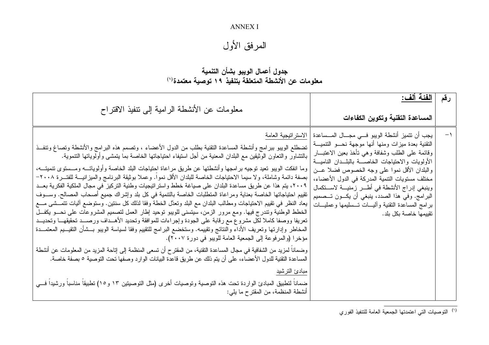### **ANNEX I**

# المرفق الأول

## جدول أعمال الويبو بشأن التنمية معلومات عن الأنشطة المتعلقة بتنفيذ ١٩ توصية معتمدة (١)

| معلومات عن الأنشطة الرامية إلى نتفيذ الاقتراح                                                                                                                                                                                                                                                                                                                                                                                                                                                                                                                                                                                                                                                                                                                                                                                                                                                                                                                                                                                                                                                                                                                                                                                                                                                                                                                                                                                                                                                                                                                                                                                                                                     | الفئة ألف:<br>المساعدة التقنية وتكوين الكفاءات                                                                                                                                                                                                                                                                                                                                                                                                                                                                                              | رقم |
|-----------------------------------------------------------------------------------------------------------------------------------------------------------------------------------------------------------------------------------------------------------------------------------------------------------------------------------------------------------------------------------------------------------------------------------------------------------------------------------------------------------------------------------------------------------------------------------------------------------------------------------------------------------------------------------------------------------------------------------------------------------------------------------------------------------------------------------------------------------------------------------------------------------------------------------------------------------------------------------------------------------------------------------------------------------------------------------------------------------------------------------------------------------------------------------------------------------------------------------------------------------------------------------------------------------------------------------------------------------------------------------------------------------------------------------------------------------------------------------------------------------------------------------------------------------------------------------------------------------------------------------------------------------------------------------|---------------------------------------------------------------------------------------------------------------------------------------------------------------------------------------------------------------------------------------------------------------------------------------------------------------------------------------------------------------------------------------------------------------------------------------------------------------------------------------------------------------------------------------------|-----|
| تضطلع الويبو ببرامج وأنشطة المساعدة التقنية بطلب من الدول الأعضاء ، ونصمم هذه البرامج والأنشطة ونصاغ وتنفــذ<br>بالتشاور والتعاون الوثيقين مع البلدان المعنية من أجل استيفاء احتياجاتها الخاصة بما يتمشى وأولوياتها التنموية.<br>وما انفكت الويبو تعيد توجيه برامجها وأنشطتها عن طريق مراعاة احتياجات البلد الخاصة وأولوياتـــه ومـــستوى نتميتـــه،<br>بصفة دائمة وشاملة، ولا سيما الاحتياجات الخاصة للبلدان الأقل نموا. وعملا بوثيقة البرنامج والمبزانيـــة للفتـــرة ٢٠٠٨–<br>٢٠٠٩، يتم هذا عن طريق مساعدة البلدان على صياغة خطط واستراتيجيات وطنية التركيز في مجال الملكية الفكرية بعــد<br>تقييم احتياجاتها الخاصة بعناية ومراعاة المتطلبات الخاصة بالتتمية في كل بلد وإشراك جميع أصحاب المصالح. وســـوف<br>يعاد النظر في نقييم الاحتياجات ومطالب البلدان مع البلد وتعدَّل الخطة وفقا لذلك كل سنتين. وستوضع أليات نتمـــشي مـــع<br>الخطط الوطنية ونتدرج فيها. ومع مرور الزمن، سيتسنى للويبو نوحيد إطار العمل لتصميم المشروعات على نحــو يكفــل<br>تعريفا ووصفا كاملا لكل مشروع مع رقابة على الجودة وإجراءات للموافقة وتحديد الأهــداف ورصـــد تحقيقهـــا وتحديــد<br>المخاطر وإدارتها وتعريف الأداء والنتائج وتقييمه. وستخضع البرامج للتقييم وفقا لسياسة الويبو بـــشأن التقيـــيم المعتمـــدة<br>مؤخرا (والمرفوعة إلى الجمعية العامة للويبو في دورة ٢٠٠٧).<br>وضمانا لمزيد من الشفافية في مجال المساعدة النقنية، من المقترح أن نسعى المنظمة إلى إناحة المزيد من المعلومات عن أنشطة<br>المساعدة التقنية للدول الأعضاء، على أن يتم ذلك عن طريق قاعدة البيانات الوارد وصفها تحت التوصية ٥ بصفة خاصة.<br>مبادئ الترشيد<br>ضماناً لتطبيق المبادئ الواردة تحت هذه التوصية وتوصيات أخرى (مثل التوصيتين ١٣ و١٥) تطبيقاً مناسباً ورشيداً فـــي<br>أنشطة المنظمة، من المقترح ما يلي: | يجب أن نتميز أنشطة الويبو فـــي مجــــال المــــساعدة   الاستر اتيجية العامة<br>التقنية بعدة ميزات ومنها أنها موجهة نحـــو التتميـــة<br>وقائمة على الطلب وشفافة وهي نأخذ بعين الاعتبـــار<br>الأولويات والاحتياجات الخاصسة بالبلسدان الناميسة<br>والبلدان الأقل نموا على وجه الخصوص فضلا عـــن<br>مختلف مستويات التنمية المدركة في الدول الأعضاء،<br>وينبغي إدراج الأنشطة في أطـــر زمنيـــة لاســـنكمال<br>البرامج. وفي هذا الصدد، ينبغي أن يكـــون تـــصميم<br>برامج المساعدة التقنية وأليسات تسسليمها وعمليسات<br>تقييمها خاصة بكل بلد. |     |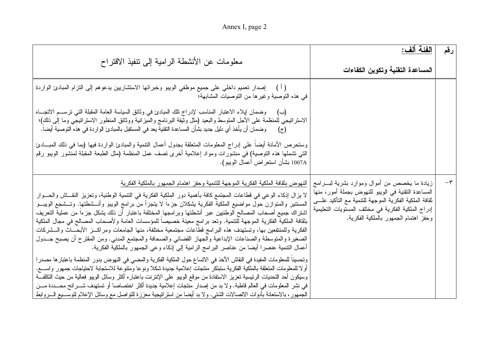Annex I, page 2

| معلومات عن الأنشطة الرامية إلى نتفيذ الاقتراح                                                                                                                                                                                                                                                                                                                                                                                                                                                                                                                                                                                                                                                                                                                                                                                                                                                         | الفئة ألف:<br>المساعدة التقنية وتكوين الكفاءات                                                                                                                                                                                                                | رقم     |
|-------------------------------------------------------------------------------------------------------------------------------------------------------------------------------------------------------------------------------------------------------------------------------------------------------------------------------------------------------------------------------------------------------------------------------------------------------------------------------------------------------------------------------------------------------------------------------------------------------------------------------------------------------------------------------------------------------------------------------------------------------------------------------------------------------------------------------------------------------------------------------------------------------|---------------------------------------------------------------------------------------------------------------------------------------------------------------------------------------------------------------------------------------------------------------|---------|
| ( أ )     إصدار تعميم داخلي على جميع موظفي الويبو وخبر ائها الاستشاريين يدعوهم إلى التزام المبادئ الواردة<br>في هذه التوصية وغيرها من التوصيات المشابهة؛                                                                                                                                                                                                                                                                                                                                                                                                                                                                                                                                                                                                                                                                                                                                              |                                                                                                                                                                                                                                                               |         |
| وضمان إيلاء الاعتبار المناسب لإدراج نلك المبادئ في وثائق السياسة العامة المقبلة التي نرســـم الانـجـــاه<br>(ب)<br>الاستراتيجي للمنظمة على الأجل المتوسط والبعيد (مثل وثيقة البرنامج والميزانية ووثائق المنظور الاستراتيجي وما إلى ذلك)؛<br>وضمان أن يأخذ أي دليل جديد بشأن المساعدة النقنية يعد في المستقبل بالمبادئ الواردة في هذه التوصية أيضـا.<br>$(\overline{\zeta})$<br>وستحرص الأمانة أيضا على إدراج المعلومات المتعلقة بجدول أعمال النتمية والمبادئ الواردة فيها (بما في ذلك المبـــادئ                                                                                                                                                                                                                                                                                                                                                                                                      |                                                                                                                                                                                                                                                               |         |
| التي تشملها هذه التوصية) في منشورات ومواد إعلامية أخرى تصف عمل المنظمة (مثل الطبعة المقبلة لمنشور الويبو رقم<br>. 1007A بشأن استعراض أعمال الويبو).                                                                                                                                                                                                                                                                                                                                                                                                                                                                                                                                                                                                                                                                                                                                                   |                                                                                                                                                                                                                                                               |         |
| النهوض بثقافة الملكية الفكرية الموجهة للتنمية وحفز اهتمام الجمهور بالملكية الفكرية<br>لا يزال إذكاء الوعي في قطاعات المجتمع كافة بأهمية دور الملكية الفكرية في التنمية الوطنية، وتعزيز النقـــاش والـمـــوار<br>المستنير والمتوازن حول مواضيع الملكية الفكرية يشكلان جزءا لا يتجزأ من برامج الويبو وأنـــشطتها. وتـــشجع الويبـــو<br>اشتراك جميع أصحاب المصالح الوطنيين عبر أنشطتها وبرامجها المختلفة باعتبار أن ذلك يشكل جزءآ من عملية التعريف<br>بثقافة الملكية الفكرية الموجهة للتتمية. وتعد برامج معينة خصيصا للمؤسسات العامة ولأصحاب المصالح في مجال الملكية<br>الفكرية وللمنتفعين بها، وتستهدف هذه البرامج قطاعات مجتمعية مختلفة، منها الجامعات ومراكـــز الأبحـــاث والـــشركات<br>الصغيرة والمتوسطة والصناعات الإبداعية والجهاز القضائي والصحافة والمجتمع المدني. ومن المقترح أن يصبح جـــدول<br>أعمال التنمية عنصرًا أيضًا من عناصر البرامج الرامية إلى إذكاء وعي الجمهور بالملكية الفكرية. | زيادة ما يخصص من أموال وموارد بشرية لبـــرامج<br>المساعدة التقنية في الويبو للنهوض بجملة أمور، منها<br>ثقافة الملكية الفكرية الموجهة للنتمية مع التأكيد علـــي<br>إدراج الملكية الفكرية في مختلف المستويات التعليمية<br>وحفز اهتمام الجمهور بالملكية الفكرية. | $-\tau$ |
| وتحسينا للمعلومات المفيدة في النقاش الآخذ في الاتساع حول الملكية الفكرية والمضبي في النهوض بدور المنظمة باعتبارها مصدرا<br>أولا للمعلومات المنعلقة بالملكية الفكرية ستبتكر منتجات إعلامية جديدة شكلا ونوعا ومتتوعة للاستجابة لاحتياجات جمهور واســــع.<br>وسيكون أحد التحديات الرئيسية تعزيز الاستفادة من موقع الويبو على الإنترنت باعتباره أكثر وسائل الويبو فعالية من حيث التكلفـــة<br>في نشر المعلومات في العالم قاطبة. ولا بد من إصدار منتجات إعلامية جديدة أكثر اختصاصا أو تستهدف شـــرائح محـــددة مـــن<br>الجمهور، بالاستعانة بأدوات الاتصالات الشتبي. ولا بد أيضا من استراتيجية معززة للتواصل مع وسائل الإعلام لتوســـيع الـــروابط                                                                                                                                                                                                                                                         |                                                                                                                                                                                                                                                               |         |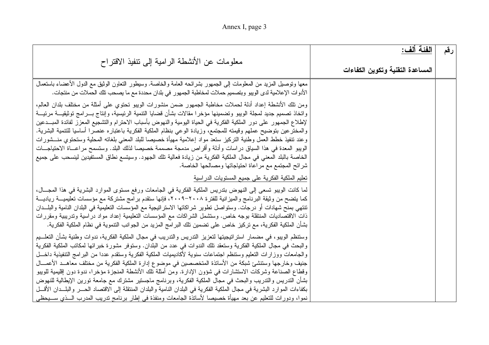| Annex I, page 3 |  |  |
|-----------------|--|--|
|-----------------|--|--|

| معلومات عن الأنشطة الرامية إلىي تنفيذ الاقتراح                                                                                                                                                                                                                                                                                                                                                                                                                                                                                                                                                                                                                                                                                                                                                                                                                                                                                                               | الفئة ألف:                       | رقم |
|--------------------------------------------------------------------------------------------------------------------------------------------------------------------------------------------------------------------------------------------------------------------------------------------------------------------------------------------------------------------------------------------------------------------------------------------------------------------------------------------------------------------------------------------------------------------------------------------------------------------------------------------------------------------------------------------------------------------------------------------------------------------------------------------------------------------------------------------------------------------------------------------------------------------------------------------------------------|----------------------------------|-----|
|                                                                                                                                                                                                                                                                                                                                                                                                                                                                                                                                                                                                                                                                                                                                                                                                                                                                                                                                                              | المساعدة التقنية وتكوين الكفاءات |     |
| معها ونوصيل المزيد من المعلومات إلى الجمهور بشرائحه العامة والخاصة. وسيطور النعاون الوثيق مع الدول الأعضاء باستعمال<br>الأدوات الإعلامية لدى الويبو وبتصميم حملات لمخاطبة الجمهور في بلدان محددة مع ما يصحب تلك الحملات من منتجات.                                                                                                                                                                                                                                                                                                                                                                                                                                                                                                                                                                                                                                                                                                                           |                                  |     |
| ومن نلك الأنشطة إعداد أدلة لحملات مخاطبة الجمهور ضمن منشورات الويبو تحتوي على أمثلة من مختلف بلدان العالم،<br>واتخاذ تصميم جديد لمجلة الويبو وتضمينها مؤخرا مقالات بشأن قضايا التنمية الرئيسية، وإنتاج بـــرامج توثيقيـــة مرئيـــة<br>لإطلاع الجمهور على دور الملكية الفكرية في الحياة اليومية والنهوض بأسباب الاحترام والتشجيع المعزز لفائدة المبــدعين<br>والمختر عين بتوضيح عملهم وقيمته للمجتمع، وزيادة الوعي بنظام الملكية الفكرية باعتباره عنصرا أساسيا للتتمية البشرية.<br>وعند نتفيذ خطط العمل وطنية التركيز ستعد مواد إعلامية مهيأة خصيصا للبلد المعنبي بلغاته المحلية وستحتوي منـــشورات<br>الويبو المعدة في هذا السياق در اسات وأدلة وأقراص مدمجة مصممة خصيصا لذلك البلد. وستسمح مراعـــاة الاحتياجـــات<br>الخاصة بالبلد المعنى في مجال الملكية الفكرية من زيادة فعالية تلك الجهود. وسيتسع نطاق المستفيدين لينسحب على جميع<br>شرائح المجتمع مع مراعاة احتياجاتها ومصالحها الخاصة.                                                               |                                  |     |
| <mark>تعليم الملكية الفكرية على جميع المستويات ال</mark> در اسية<br>لما كانت الويبو تسعى إلى النهوض بتدريس الملكية الفكرية في الجامعات ورفع مستوى الموارد البشرية في هذا المجـــال،<br>كما يتضح من وثيقة البرنامج والميزانية للفترة ٢٠٠٨-٢٠٠٩، فإنها ستقدم برامج مشتركة مع مؤسسات تعليميـــة رياديـــة<br>تنتهي بمنح شهادات أو درجات. وستواصل تطوير شراكاتها الاستراتيجية مع المؤسسات التعليمية في البلدان النامية والبلــدان<br>ذات الاقتصاديات المنتقلة بوجه خاص. وستشمل الشراكات مع المؤسسات التعليمية إعداد مواد دراسية وتدريبية ومقررات<br>بشأن الملكية الفكرية، مع تركيز خاص على تضمين تلك البرامج المزيد من الجوانب التتموية في نظام الملكية الفكرية.                                                                                                                                                                                                                                                                                                 |                                  |     |
| وستنظم الويبو، في مضمار استراتيجيتها لتعزيز التدريس والتدريب في مجال الملكية الفكرية، ندوات وطنية بشأن التعلــيم<br>والبحث في مجال الملكية الفكرية وستعقد تلك الندوات في عدد من البلدان. وستوفر مشورة خبرائها لمكانب الملكية الفكرية<br>والجامعات ووزارات النعليم وستنظم اجتماعات سنوية لأكاديميات الملكية الفكرية وستقدم عددا من البرامج التنفيذية داخـــل<br>جنيف وخارجها وستتشئ شبكة من الأساتذة المتخصصين في موضوع إدارة الملكية الفكرية من مختلف معاهــد الأعمـــال<br>وقطاع الصناعة وشركات الاستشارات في شؤون الإدارة. ومن أمثلة تلك الأنشطة المنجزة مؤخرا، ندوة دون إقليمية للويبو<br>بشأن التدريس والتدريب والبحث في مجال الملكية الفكرية، وبرنامج ماجستير مشترك مع جامعة تورين الإيطالية للنهوض<br>بكفاءات الموارد البشرية في مجال الملكية الفكرية في البلدان النامية والبلدان المنتقلة إلى الاقتصاد الحـــر والبلـــدان الأقـــل<br>نموا، ودورات للتعليم عن بعد مهيأة خصيصا لأساتذة الجامعات ومنفذة في إطار برنامج تدريب المدرب الـــذي ســــيحظـي |                                  |     |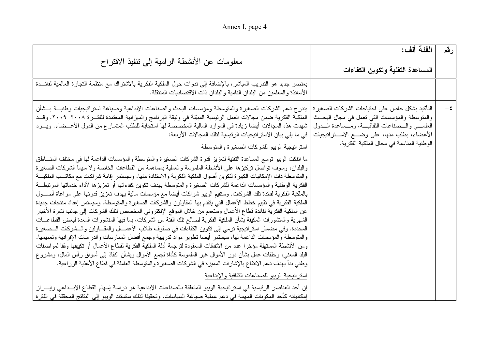|  | Annex I, page 4 |  |  |  |
|--|-----------------|--|--|--|
|--|-----------------|--|--|--|

| معلومات عن الأنشطة الرامية إلى نتفيذ الاقتراح                                                                                                                                                                                                                                                                                                                                                                                                                                                                                                                                                                                                                                                                                                                                                                                                                                                                                                                                                                                                                                                                                                                                                                                                                                                                                                                                                                                                                                                                                                                                                                                                                                                                                                                                                                                                                                                                                                                                                                                                                                                                                                                                                                                                                                                                                                                               | الفئة ألف:<br>المساعدة التقنية وتكوين الكفاءات                                                                                                                                                                                                              | رقم    |
|-----------------------------------------------------------------------------------------------------------------------------------------------------------------------------------------------------------------------------------------------------------------------------------------------------------------------------------------------------------------------------------------------------------------------------------------------------------------------------------------------------------------------------------------------------------------------------------------------------------------------------------------------------------------------------------------------------------------------------------------------------------------------------------------------------------------------------------------------------------------------------------------------------------------------------------------------------------------------------------------------------------------------------------------------------------------------------------------------------------------------------------------------------------------------------------------------------------------------------------------------------------------------------------------------------------------------------------------------------------------------------------------------------------------------------------------------------------------------------------------------------------------------------------------------------------------------------------------------------------------------------------------------------------------------------------------------------------------------------------------------------------------------------------------------------------------------------------------------------------------------------------------------------------------------------------------------------------------------------------------------------------------------------------------------------------------------------------------------------------------------------------------------------------------------------------------------------------------------------------------------------------------------------------------------------------------------------------------------------------------------------|-------------------------------------------------------------------------------------------------------------------------------------------------------------------------------------------------------------------------------------------------------------|--------|
| بعنصر جديد هو التدريب المباشر، بالإضافة إلى ندوات حول الملكية الفكرية بالاشتراك مع منظمة التجارة العالمية لفائـــدة<br>الأساتذة والمعلمين من البلدان النامية والبلدان ذات الاقتصاديات المنتقلة.                                                                                                                                                                                                                                                                                                                                                                                                                                                                                                                                                                                                                                                                                                                                                                                                                                                                                                                                                                                                                                                                                                                                                                                                                                                                                                                                                                                                                                                                                                                                                                                                                                                                                                                                                                                                                                                                                                                                                                                                                                                                                                                                                                             |                                                                                                                                                                                                                                                             |        |
| بيندرج دعم الشركات الصغيرة والمتوسطة ومؤسسات البحث والصناعات الإبداعية وصياغة استراتيجيات وطنيـــة بـــشأن<br>الملكية الفكرية ضمن مجالات العمل الرئيسية المبيّنة في وثيقة البرنامج والميزانية المعتمدة للفتـــرة ٢٠٠٨–٢٠٠٩. وقـــد<br>شهدت هذه المجالات أيضا زيادة في الموارد المالية المخصصة لها استجابة للطلب المتسارع من الدول الأعـــضاء. ويـــرد<br>في ما يلي بيان الاستر اتيجيات الرئيسية لتلك المجالات الأربعة:<br>استراتيجية الويبو للشركات الصغيرة والمتوسطة<br>ما انفكت الويبو توسع المساعدة التقنية لتعزيز قدرة الشركات الصغيرة والمتوسطة والمؤسسات الداعمة لها في مختلف المنسلطق<br>والبلدان، وسوف نواصل نركيزها على الأنشطة الملموسة والعملية بمساهمة من القطاعات الخاصة ولا سيما الشركات الصغيرة<br>والمنوسطة ذات الإمكانيات الكبيرة لتكوين أصول الملكية الفكرية والاستفادة منها. وسيستمر إقامة شراكات مع مكاتــب الملكيـــة<br>الفكرية الوطنية والمؤسسات الداعمة للشركات الصغيرة والمنوسطة بهدف نكوين كفاءاتها أو نعزيزها لأداء خدماتها المرنبطة<br>بالملكية الفكرية لفائدة تلك الشركات. وستقيم الويبو شراكات أيضا مع مؤسسات مالية بهدف تعزيز قدرتها على مراعاة أصـــول<br>الملكية الفكرية في تقييم خطط الأعمال التي يتقدم بها المقاولون والشركات الصغيرة والمتوسطة. وسيستمر إعداد منتجات جديدة<br>عن الملكية الفكرية لفائدة قطاع الأعمال وستعمم من خلال الموقع الإلكتروني المخصص لتلك الشركات إلى جانب نشرة الأخبار<br>الشهرية والمنشورات المكيفة بشأن الملكية الفكرية لصىالح نلك الفئة من الشركات، بما فيها المنشورات المعدة لبعض القطاعـــات<br>المحددة. وفي مضمار استراتيجية نرمي إلى نكوين الكفاءات في صفوف طلاب الأعمـــال والمقـــاولين والـــشركات الـــصغيرة<br>والمنوسطة والمؤسسات الداعمة لها، سيستمر أيضا نطوير مواد ندريبية وجمع أفضل الممارسات والدراسات الإفرادية وتعميمها.<br>ومن الأنشطة المستهلة مؤخرا عدد من الاتفاقات المعقودة لترجمة أدلة الملكية الفكرية لقطاع الأعمال أو تكييفها وفقا لمواصفات<br>البلد المعنى، وحلقات عمل بشأن دور الأموال غير الملموسة كأداة لجمع الأموال وبشأن النفاذ إلى أسواق رأس المال، ومشروع<br>وطني بدأ بهدف دعم الانتفاع بالإشارات المميزة في الشركات الصغيرة والمتوسطة العاملة في قطاع الأغذية الزراعية.<br>استراتيجية الويبو للصناعات الثقافية والإبداعية<br>إن أحد العناصر الرئيسية في استراتيجية الويبو المتعلقة بالصناعات الإبداعية هو دراسة إسهام القطاع الإبــداعي وإبـــراز<br>إمكانياته كأحد المكونات المهمة في دعم عملية صياغة السياسات. وتحقيقا لذلك ستستند الويبو إلى النتائج المحققة في الفترة | التأكيد بشكل خاص على احتياجات الشركات الصغير ة<br>والمنوسطة والمؤسسات التي نعمل في مجال البحــث<br>العلمـــي والـــصناعات النقافيـــة، ومـــساعدة الـــدول<br>الأعضاء، بطلب منها، علىي وضـــع الاســـتراتيجيات<br>الوطنية المناسبة في مجال الملكية الفكرية. | $-\xi$ |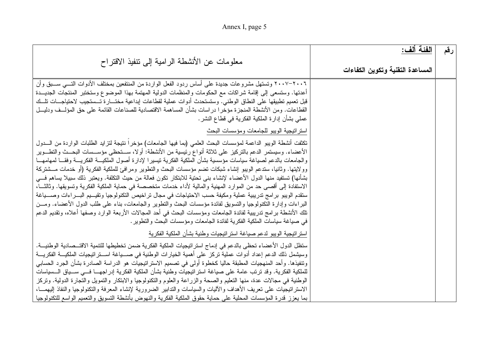Annex I, page 5

| معلومات عن الأنشطة الرامية إلى تنفيذ الاقتراح                                                                                                                                                                                                                                                                                                                                                                                                                                                                                                                                                                                                                                                                                                                                                                                                                                                                                                                                                                                                                                                                                                                        | الفئة ألف:<br>المساعدة التقنية وتكوين الكفاءات | رقم |
|----------------------------------------------------------------------------------------------------------------------------------------------------------------------------------------------------------------------------------------------------------------------------------------------------------------------------------------------------------------------------------------------------------------------------------------------------------------------------------------------------------------------------------------------------------------------------------------------------------------------------------------------------------------------------------------------------------------------------------------------------------------------------------------------------------------------------------------------------------------------------------------------------------------------------------------------------------------------------------------------------------------------------------------------------------------------------------------------------------------------------------------------------------------------|------------------------------------------------|-----|
| ٢٠٠٦–٢٠٠٧ وتستهل مشروعات جديدة على أساس ردود الفعل الواردة من المنتفعين بمختلف الأدوات التسي ســـبق وأن<br>أعدتها. وستسعى إلى إقامة شراكات مع الحكومات والمنظمات الدولية المهتمة بهذا الموضوع وستختبر المنتجات الجديـــدة<br>قبل نعميم نطبيقها على النطاق الوطني. وستستحدث أدوات عملية لقطاعات إبداعية مختـــارة تـــستجيب لاحتياجـــات نلـــك<br>القطاعات. ومن الأنشطة المنجزة مؤخرا دراسات بشأن المساهمة الاقتصادية للصناعات القائمة على حق المؤلسف ودليسل<br>عملي بشأن إدارة الملكية الفكرية في قطاع النشر .                                                                                                                                                                                                                                                                                                                                                                                                                                                                                                                                                                                                                                                      |                                                |     |
| استراتيجية الويبو للجامعات ومؤسسات البحث                                                                                                                                                                                                                                                                                                                                                                                                                                                                                                                                                                                                                                                                                                                                                                                                                                                                                                                                                                                                                                                                                                                             |                                                |     |
| تكثفت أنشطة الويبو الداعمة لمؤسسات البحث العلمي (بما فيها الجامعات) مؤخرا نتيجة لتزايد الطلبات الواردة من السدول<br>الأعضاء. وسيستمر الدعم بالتركيز على ثلاثة أنواع رئيسية من الأنشطة: أولا، ســـتحظى مؤســـسات البحـــث والتطـــوير<br>والجامعات بالدعم لصياغة سياسات مؤسسية بشأن الملكية الفكرية نيسيرا لإدارة أصول الملكيـــة الفكريـــة وفقـــا لمهامهـــا<br>وولايتها. وثانيا، ستدعم الويبو إنشاء شبكات نضم مؤسسات البحث والنطوير ومرافئ للملكية الفكرية (أو خدمات مـــشتركة<br>بشأنها) تستفيد منها الدول الأعضاء لإنشاء بني تحتية للابتكار تكون فعالة من حيث التكلفة. ويعتبر ذلك سبيلا يساهم فسي<br>الاستفادة إلى أقصى حد من الموارد المهنية والمالية لأداء خدمات متخصصة في حماية الملكية الفكرية وتسويقها. وثالثـــا،<br>ستقدم الويبو برامج ندريبية عملية ومكيفة حسب الاحتياجات في مجال نراخيص التكنولوجيا ونقيــيم البـــراءات وصــــياغة<br>البر اءات وإدارة التكنولوجيا والتسويق لفائدة مؤسسات البحث والنطوير والجامعات، بناء على طلب الدول الأعضاء. ومــن<br>نلك الأنشطة برامج ندريبية لفائدة الجامعات ومؤسسات البحث في أحد المجالات الأربعة الوارد وصفها أعلاه، ونقديم الدعم<br>في صياغة سياسات الملكية الفكرية لفائدة الجامعات ومؤسسات البحث والنطوير . |                                                |     |
| استراتيجية الويبو لدعم صياغة استراتيجيات وطنية بشأن الملكية الفكرية                                                                                                                                                                                                                                                                                                                                                                                                                                                                                                                                                                                                                                                                                                                                                                                                                                                                                                                                                                                                                                                                                                  |                                                |     |
| ستظل الدول الأعضاء تحظى بالدعم في إدماج استر اتيجيات الملكية الفكرية ضمن تخطيطها للتتمية الاقتــصـادية الوطنيـــة.<br>وسيشمل ذلك الدعم إعداد أدوات عملية تركز على أهمية الخيارات الوطنية في صـــياغة اســـتر اتيجيات الملكيـــة الفكريـــة<br>وتتفيذها. وأحد المنهجيات المطبقة حاليا كخطوة أولى في تصميم الاستر اتيجيات هو الدراسة الصادرة بشأن الجرد الحسابي<br>للملكية الفكرية. وقد ترتب عامة على صياغة استراتيجيات وطنية بشأن الملكية الفكرية إدراجهـــا فـــى ســـياق الـــسياسات<br>الوطنية في مجالات عدة، منها النعليم والصحة والزراعة والعلوم والنكنولوجيا والابنكار والتمويل والتجارة الدولية. وتركز<br>الاستراتيجيات على تعريف الأهداف والآليات والسياسات والتدابير الضرورية لإنشاء المعرفة والتكنولوجيا والنفاذ البهمسا،<br>بما يعزز قدرة المؤسسات المحلية على حماية حقوق الملكية الفكرية والنهوض بأنشطة التسويق والنعميم الواسع للتكنولوجيا                                                                                                                                                                                                                                                                                                               |                                                |     |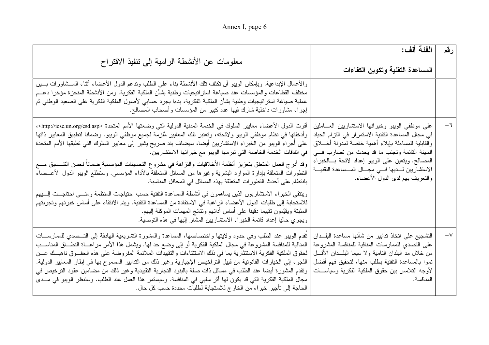| معلومات عن الأنشطة الرامية إلى نتفيذ الاقتراح                                                                                                                                                                                                                                                                                                                                                                                                                                                                                                                                                                                                                                                                                                                                                                                                                                                                                                                                                                     | <u>  الفئة ألف:</u><br>المساعدة التقنية وتكوين الكفاءات                                                                                                                                                                                                                                                                                                             | رقم           |
|-------------------------------------------------------------------------------------------------------------------------------------------------------------------------------------------------------------------------------------------------------------------------------------------------------------------------------------------------------------------------------------------------------------------------------------------------------------------------------------------------------------------------------------------------------------------------------------------------------------------------------------------------------------------------------------------------------------------------------------------------------------------------------------------------------------------------------------------------------------------------------------------------------------------------------------------------------------------------------------------------------------------|---------------------------------------------------------------------------------------------------------------------------------------------------------------------------------------------------------------------------------------------------------------------------------------------------------------------------------------------------------------------|---------------|
| والأعمال الإبداعية. وبإمكان الويبو أن نكثف نلك الأنشطة بناء على الطلب وندعم الدول الأعضاء أثناء المـــشاورات بـــين<br>مختلف القطاعات والمؤسسات عند صياغة استراتيجيات وطنية بشأن الملكية الفكرية. ومن الأنشطة المنجزة مؤخرا دعـــم<br>عملية صياغة استرانتيجيات وطنية بشأن الملكية الفكرية، بدءا بجرد حسابي لأصول الملكية الفكرية على الصعيد الوطنبي ثم<br>إجراء مشاورات داخلية شارك فيها عدد كبير من المؤسسات وأصحاب المصالح.                                                                                                                                                                                                                                                                                                                                                                                                                                                                                                                                                                                     |                                                                                                                                                                                                                                                                                                                                                                     |               |
| أقرت الدول الأعضاء معايير السلوك في الخدمة المدنية الدولية التي وضعتها الأمم المتحدة <http: csd.asp="" icsc.un.org="">،<br/>وأدخلتها في نظام موظفي الويبو ولائحته، وتعتبر تلك المعايير مُلزمة لجميع موظفي الويبو. وضمانا لتطبيق المعايير ذاتها<br/>على أجراء الويبو من الخبراء الاستشاريين أيضا، سيضاف بند صريح يشير إلى معايير السلوك التي تطبقها الأمم المتحدة<br/>في اتفاقات الخدمة الخاصة التي تبر مها الويبو مع خبر ائها الاستشاريين.<br/>وقد أدرج العمل المتعلق بتعزيز أنظمة الأخلاقيات والنزاهة في مشروع التحسينات المؤسسية ضمانا لحسن التتــسيق مـــع<br/>التطورات المتعلقة بإدارة الموارد البشرية وغيرها من المسائل المتعلقة بالأداء المؤسسي. وستطلع الويبو الدول الأعــضاء<br/>بانتظام على أحدث النطور ات المتعلقة بهذه المسائل في المحافل المناسبة.<br/>وينتقى الخبراء الاستشاريون الذين يساهمون في أنشطة المساعدة التقنية حسب احتياجات المنظمة ومتسى احتاجــت إلـــيهم<br/>للاستجابة إلى طلبات الدول الأعضاء الراغبة في الاستفادة من المساعدة التقنية. ويتم الانتقاء على أساس خبرتهم وتجربتهم</http:> | على موظفى الويبو وخبرائها الاستشاريين العـــاملين<br>في مجال المساعدة التقنية الاستمرار في التزام الحياد<br>والقابلية للمساءلة بإيلاء أهمية خاصة لمدونة أخـــلاق<br>المهنة القائمة وتجنب ما قد يحدث من تضارب في<br>المصالح. ويتعين على الويبو إعداد لائحة بسالخبراء<br>الاستشاريين لـــديها فـــي مجـــال المـــساعدة التقنيـــة<br>والنعريف بهم لدى الدول الأعضاء. | $-\mathbf{1}$ |
| المثبتة ويقيِّمون تقييما دقيقا على أساس أدائهم ونتائج المهمات الموكلة إليهم.<br>ويجري حاليا إعداد قائمة الخبراء الاستشاريين المشار إليها في هذه التوصية.                                                                                                                                                                                                                                                                                                                                                                                                                                                                                                                                                                                                                                                                                                                                                                                                                                                          |                                                                                                                                                                                                                                                                                                                                                                     |               |
| تقدم الويبو عند الطلب وفي حدود ولايتها واختصاصها، المساعدة والمشورة التشريعية الهادفة إلى التـــصدي للممارســـات<br>المنافية للمنافسة المشروعة في مجال الملكية الفكرية أو إلى وضع حد لها. ويشمل هذا الأمر مراعـــاة النطـــاق المناســـب<br>لمحقوق الملكية الفكرية الاستئثارية بما في ذلك الاستثناءات والتقييدات الملائمة المفروضة على هذه الحقــوق ناهيــك عــن<br>اللجوء إلى الخيارات القانونية من قبيل التراخيص الإجبارية وغير ذلك من التدابير المسموح بها في إطار المعايير الدولية.<br>وتقدم المشورة أيضـا عند الطلب فـي مسائل ذات صلَّة بالبنود التجارية التقييدية وغير ذلك من مضـامين عقود الترخيص فـي<br>مجال الملكية الفكرية التي قد يكون لها أثر سلبي في المنافسة. وسيستمر هذا العمل عند الطلب. وستنظر الويبو في مــدي<br>الحاجة إلى تأجير خبراء من الخارج للاستجابة لطلبات محددة حسب كل حال.                                                                                                                                                                                                            | التشجيع على اتخاذ تدابير من شأنها مساعدة البلــدان<br>على التصدي للممارسات المنافية للمنافسة المشروعة<br>من خلال مد البلدان النامية ولا سيما البلـــدان الأقـــل<br>نموا بالمساعدة التقنية بطلب منها، لتحقيق فهم أفضل<br>لأوجه التلامس بين حقوق الملكية الفكرية وسياســـات<br>المنافسة.                                                                             | $-\vee$       |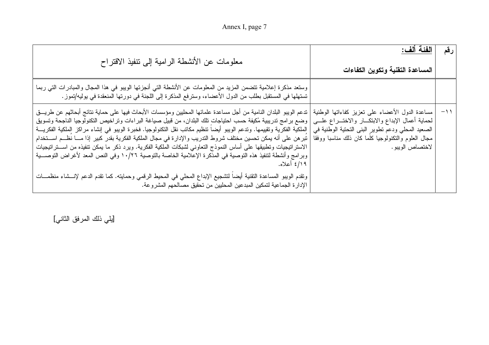|  | Annex I, page 7 |  |  |  |
|--|-----------------|--|--|--|
|--|-----------------|--|--|--|

| معلومات عن الأنشطة الرامية إلى نتفيذ الاقتراح                                                                                                                                                                                                                                                                                                                                                                                                                                                                                                                                                                                                                                                                                               | الفئة آلف:<br>المساعدة التقنية وتكوين الكفاءات                                                                                                                                                                                           | رقم  |
|---------------------------------------------------------------------------------------------------------------------------------------------------------------------------------------------------------------------------------------------------------------------------------------------------------------------------------------------------------------------------------------------------------------------------------------------------------------------------------------------------------------------------------------------------------------------------------------------------------------------------------------------------------------------------------------------------------------------------------------------|------------------------------------------------------------------------------------------------------------------------------------------------------------------------------------------------------------------------------------------|------|
| وستعد مذكرة إعلامية تتضمن المزيد من المعلومات عن الأنشطة التي أنجزتها الويبو في هذا المجال والمبادرات التي ربما<br>تستهلها في المستقبل بطلب من الدول الأعضاء، وسترفع المذكرة إلى اللجنة في دورتها المنعقدة في يوليه/تموز .                                                                                                                                                                                                                                                                                                                                                                                                                                                                                                                  |                                                                                                                                                                                                                                          |      |
| تدعم الويبو البلدان النامية من أجل مساعدة علمائها المحليين ومؤسسات الأبحاث فيها على حماية نتائج أبحاثهم عن طريـــق<br>وضع برامج ندريبية مُكيفة حسب احتياجاتٍ تلك البلدان، من قبيل صياغة البراءات ونراخيص التكنولوجيا الناجحة وتسويق<br>الملكية الفكرية وتقييمها. وتدعم الويبو أيضا نتظيم مكاتب نقل التكنولوجيا. فخبرة الويبو في إنشاء مراكز الملكية الفكريـــة<br>تبر هن على أنه يمكن تحسين مختلف شروط التدريب والإدارة في مجال الملكية الفكرية بقدر كبير إذا مــــا نظـــم اســـتخدام<br>الاستراتيجيات وتطبيقها على أساس النموذج التعاوني لشبكات الملكية الفكرية. ويرد ذكر ما يمكن تنفيذه من اســـتراتيجيات<br>وبرامج وأنشطة لتنفيذ هذه التوصية في المذكرة الإعلامية الخاصة بالتوصية ١٠/٢٦ وفي النص المعد لأغراض التوصـــية<br>۶/۱۹ أعلاه. | مساعدة الدول الأعضاء على تعزيز كفاءاتها الوطنية<br>لحماية أعمال الإبداع والابتكـــار والاختـــراع علــــي<br>الصعيد المحلي ودعم نطوير البنى التحتية الوطنية في<br>مجال العلوم والنكنولوجيا كلما كان ذلك مناسبا ووفقا<br>لاختصاص الويبو . | $-1$ |
| ونقدم الويبو المساعدة النقنية أيضا لتشجيع الإبداع المحلي في المحيط الرقمي وحمايته. كما نقدم الدعم لإنـــشاء منظمـــات<br>الإدارة الجماعية لتمكين المبدعين المحلبين من تحقيق مصالحهم المشروعة.                                                                                                                                                                                                                                                                                                                                                                                                                                                                                                                                               |                                                                                                                                                                                                                                          |      |

[يلي ذلك المرفق الثاني]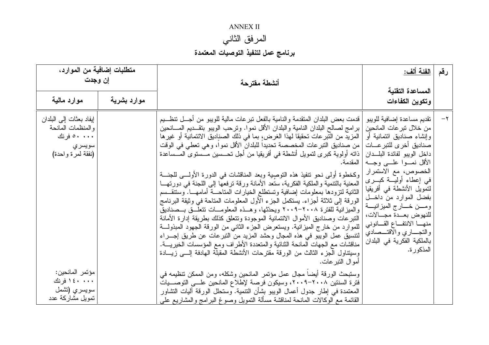## **ANNEX II**

# المرفق الثاني

# برنامج عمل لتنفيذ التوصيات المعتمدة

| متطلبات إضافية من الموارد،<br>إن وجدت                                                                                                                             |             | أنشطة مقترحة                                                                                                                                                                                                                                                                                                                                                                                                                                                                                                                                                                                                                                                                                                                                                                                                                                                                                                                                                                                                                                                                                                                                                                                                                                                                                                                                                                                                                                                                                                                                                                                                                    | الفئة ألف:                                                                                                                                                                                                                                                                                                                                                                                                                                                          | رقم     |
|-------------------------------------------------------------------------------------------------------------------------------------------------------------------|-------------|---------------------------------------------------------------------------------------------------------------------------------------------------------------------------------------------------------------------------------------------------------------------------------------------------------------------------------------------------------------------------------------------------------------------------------------------------------------------------------------------------------------------------------------------------------------------------------------------------------------------------------------------------------------------------------------------------------------------------------------------------------------------------------------------------------------------------------------------------------------------------------------------------------------------------------------------------------------------------------------------------------------------------------------------------------------------------------------------------------------------------------------------------------------------------------------------------------------------------------------------------------------------------------------------------------------------------------------------------------------------------------------------------------------------------------------------------------------------------------------------------------------------------------------------------------------------------------------------------------------------------------|---------------------------------------------------------------------------------------------------------------------------------------------------------------------------------------------------------------------------------------------------------------------------------------------------------------------------------------------------------------------------------------------------------------------------------------------------------------------|---------|
| موارد مالية                                                                                                                                                       | موارد بشرية |                                                                                                                                                                                                                                                                                                                                                                                                                                                                                                                                                                                                                                                                                                                                                                                                                                                                                                                                                                                                                                                                                                                                                                                                                                                                                                                                                                                                                                                                                                                                                                                                                                 | المساعدة التقنية<br>وتكوين الكفاءات                                                                                                                                                                                                                                                                                                                                                                                                                                 |         |
| إيفاد بعثات إلى البلدان<br>والمنظمات المانحة<br>۰۰۰ ۵۰ فرنك<br>سويسري<br>(نفقة لمرة واحدة)<br>مؤتمر المانحين:<br>۱٤۰ ۰۰۰ فرنك<br>سويسري (تشمل<br>تمويل مشاركة عدد |             | قدمت بعض البلدان المتقدمة والنامية بالفعل نبرعات مالية للويبو من أجـــل تنظـــيم<br>برامج لصالح البلدان النامية والبلدان الأقل نموا. ونرحب الويبو بتقــديم المـــانحين<br>المزيد من النبر عات تحقيقا لهذا الغرض، بما في ذلك الصناديق الائتمانية أو غير ها<br>من صناديق النبر عات المخصصة تحديدا للبلدان الأقل نموا، وهي تعطي في الوقت<br>ذاته أولوية كبرى لتمويل أنشطة في أفريقيا من أجل تحـــسين مـــستوى المـــساعدة<br>المقدمة.<br>وكخطوة أولى نحو نتفيذ هذه النوصية وبعد المناقشات في الدورة الأولـــي للجنـــة<br>المعنية بالتنمية والملكية الفكرية، سنعد الأمانة ورقة ترفعها إلى اللجنة في دورتهـــا<br>الثانية لنزودها بمعلومات إضافية وتستطلع الخيارات المتاحـــة أمامهـــا. وستتقـــسم<br>الورقة إلى ثلاثة أجزاء. يستكمل الجزء الأول المعلومات المتاحة في وثيقة البرنامج<br>والمبز انية للفترة ٢٠٠٨–٢٠٠٩ ويحدِّثها، وهــذه المعلومـــات تتعلَّــق بــصناديق<br>النبرعات وصناديق الأموال الائتمانية الموجودة ونتعلق كذلك بطريقة إدارة الأمانة<br>للموارد من خارج الميزانية. ويستعرض الجزء الثانبي من الورقة الجهود المبذولـــة<br>لتتسيق عمل الويبو في هذه المجال وحشد المزيد من النبر عات عن طريق إجـــراء<br>مناقشات مع الجهات المانحة الثنائية والمتعددة الأطراف ومع المؤسسات الخيريــــة.<br>وسيتناول الجزء الثالث من الورقة مقترحات الأنشطة المقبلة الهادفة إلسي زيسادة<br>أمو ال النبر عات.<br>وستبحث الورقة أيضاً مجال عمل مؤتمر المانحين وشكله، ومن الممكن تنظيمه في<br>فترة السنتين ٢٠٠٨–٢٠٠٩، وسيكون فرصة لإطلاع المانحين علـــى التوصـــيات<br>المعتمدة في إطار جدول أعمال الويبو بشأن النتمية. وستحلل الورقة أليات التشاور<br>القائمة مع الوكالات المانحة لمناقشة مسألة التمويل وصوغ البر امج والمشاريع على | تقديم مساعدة إضافية للويبو<br>من خلال تبر عات المانحين<br>وإنشاء صناديق ائتمانية أو<br>صناديق أخرى للتبر عسات<br>داخل الويبو لفائدة البلـــدان<br>الأقل نمسوا علسى وجسه<br>الخصوص، مع الاستمرار<br>في إعطاء أوليسة كبسرى<br>لتمويل الأنشطة في أفريقيا<br>بفضل الموارد من داخـــل<br>ومــــن خـــــــار ج المميز انيــــــة<br>للنهوض بعــدة مجـــالات،<br>منهـــا الانتفـــاع القـــانوني<br>والتجـــاري والاقتـــصادي<br>بالملكية الفكرية في البلدان<br>المذكور ة. | $-\tau$ |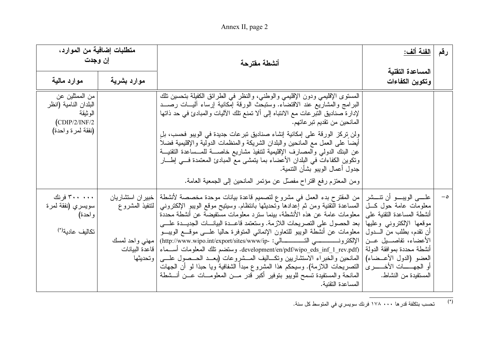Annex II, page 2

| متطلبات إضافية من الموارد،<br>إن وجدت                                                     |                                       | أنشطة مقترحة                                                                                                                                                                                                                                                                                                                                                                                                                                                                                                                                                                                                                                                                                                                                                                        | الفئة ألف:                                                                                                                                                                                                                                                                                             | رقم      |
|-------------------------------------------------------------------------------------------|---------------------------------------|-------------------------------------------------------------------------------------------------------------------------------------------------------------------------------------------------------------------------------------------------------------------------------------------------------------------------------------------------------------------------------------------------------------------------------------------------------------------------------------------------------------------------------------------------------------------------------------------------------------------------------------------------------------------------------------------------------------------------------------------------------------------------------------|--------------------------------------------------------------------------------------------------------------------------------------------------------------------------------------------------------------------------------------------------------------------------------------------------------|----------|
| موارد مالية                                                                               | موارد بشرية                           |                                                                                                                                                                                                                                                                                                                                                                                                                                                                                                                                                                                                                                                                                                                                                                                     | المساعدة التقنية<br>وتكوين الكفاءات                                                                                                                                                                                                                                                                    |          |
| من الممثلين عن<br>البلدان النامية (انظر<br>الوثيقة<br>(CDIP/2/INF/2)<br>(نفقة لمرة واحدة) |                                       | المستوى الإقليمي ودون الإقليمي والوطنبي، والنظر في الطرائق الكفيلة بتحسين نلك<br>البرامج والمشاريع عند الاقتضاء. وستبحث الورقة إمكانية إرساء اليسات رصـــد<br>لإدار ة صناديق النبر عات مع الانتباه إلى ألا تمنع تلك الأليات والمبادئ في حد ذاتها<br>المانحين من تقديم نبر عاتهم.<br>ولن تركَّز الورقة على إمكانية إنشاء صناديق تبرعات جديدة في الويبو فحسب، بلِ<br>أيضا على العمل مع المانحين والبلدان الشريكة والمنظمات الدولية والإقليمية فضلا<br>عن البنك الدولي والمصارف الإقليمية لتتفيذ مشاريع خاصـــة للمـــساعدة التقنيـــة<br>وتكوين الكفاءات في البلدان الأعضاء بما يتمشى مع المبادئ المعتمدة فـــي إطــــار<br>جدول أعمال الويبو بشأن التتمية.<br>ومن المعتزم رفع اقتراح مفصلٌ عن مؤتمر المانحين إلى الجمعية العامة.                                                     |                                                                                                                                                                                                                                                                                                        |          |
| ۳۰۰ ۰۰۰ فرنك<br>سويسري (نفقة لمرة<br>واحدة)<br>تكاليف عادية <sup>(*)</sup>                | خبیر ان استشاریان<br>ا لتتفيذ المشروع | من المقترح بدء العمل في مشروع لتصميم قاعدة بيانات موحدة مخصصة لأنشطة<br>المساعدة التقنية ومن ثم إعدادها وتحديثها بانتظام. وسيتيح موقع الويبو الإلكتروني<br>معلومات عامة عن هذه الأنشطة، بينما سترد معلومات مستفيضة عن أنشطة محددة<br>بعد الحصول على التصريحات اللازمة. وستعتمد قاعــدة البيانـــات الجديـــدة علــــي<br>معلومات عن أنشطة الويبو للتعاون الإنمائي المتوفرة حاليا علـــي موقـــع الويبـــو<br>development/en/pdf/wipo_eds_inf_1_rev.pdf). وستضم نلك المعلومات أســـماء   قاعدة البيانات<br>المانحين والخبراء الاستشاربين ونكساليف المسشروعات (بعــد الحــصول علـــي  وتحديثها<br>التصريحات اللازمة). وسيحكم هذا المشروع مبدأ الشفافية ويا حبذا لو أن الجهات<br>المانحة والمستفيدة تسمح للويبو بتوفير أكبر قدر مـــن المعلومـــات عـــن أنـــشطة<br>المساعدة النقنية. | علــــي الويبـــــو أن نتـــــشر<br>معلومات عامة حول كـــل<br>أنشطة المساعدة التقنية على<br>موقعها الإلكتروني وعليها<br>أن نقدم، بطلب من الــــدول<br>الأعضاء، تفاصـــيل عـــن<br>أنشطة محددة بموافقة الدولة<br>العضو (الدول الأعــضاء)<br>أو الجهــــــــات الأخـــــــــــرى<br>المستفيدة من النشاط. | $-\circ$ |

 $\overline{(\cdot)}$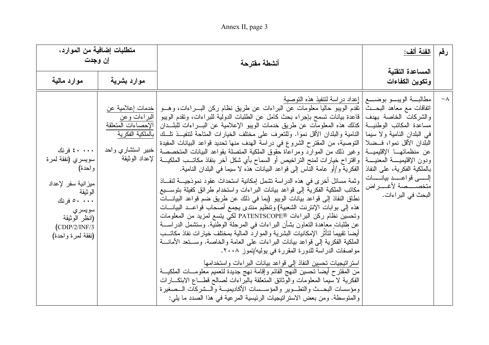| متطلبات إضافية من الموارد،<br>اِن وجدت                                                                                                                        |                                                                             | أنشطة مقترحة                                                                                                                                                                                                                                                                                                                                                                                                                                                                                                                                                                                                                                                                                                                                                                                                                                                                                                                                                                                                                                                                                                                                                                                                                                                                                                                                                                                                                                                                                                                                                                                                                                                                                                                                                                                                                                                                             | <u>الفئة ألف:</u>                                                                                                                                                                                                                                                                                                                    | رقم        |
|---------------------------------------------------------------------------------------------------------------------------------------------------------------|-----------------------------------------------------------------------------|------------------------------------------------------------------------------------------------------------------------------------------------------------------------------------------------------------------------------------------------------------------------------------------------------------------------------------------------------------------------------------------------------------------------------------------------------------------------------------------------------------------------------------------------------------------------------------------------------------------------------------------------------------------------------------------------------------------------------------------------------------------------------------------------------------------------------------------------------------------------------------------------------------------------------------------------------------------------------------------------------------------------------------------------------------------------------------------------------------------------------------------------------------------------------------------------------------------------------------------------------------------------------------------------------------------------------------------------------------------------------------------------------------------------------------------------------------------------------------------------------------------------------------------------------------------------------------------------------------------------------------------------------------------------------------------------------------------------------------------------------------------------------------------------------------------------------------------------------------------------------------------|--------------------------------------------------------------------------------------------------------------------------------------------------------------------------------------------------------------------------------------------------------------------------------------------------------------------------------------|------------|
| موارد مالية                                                                                                                                                   | موارد بشرية                                                                 |                                                                                                                                                                                                                                                                                                                                                                                                                                                                                                                                                                                                                                                                                                                                                                                                                                                                                                                                                                                                                                                                                                                                                                                                                                                                                                                                                                                                                                                                                                                                                                                                                                                                                                                                                                                                                                                                                          | المساعدة التقنية<br>وتكوين الكفاءات                                                                                                                                                                                                                                                                                                  |            |
| ۰۰۰۰ که فرنك<br>سويسري (نفقة لمرة<br>واحدة)<br>ميز انية سفر  لإعداد<br>الوثيقة<br>۰۰۰ م فرنك<br>سويسري<br>(انظر الوثيقة<br>(CDIP/2/INF/3<br>(نفقة لمرة واحدة) | خدمات إعلامية عن<br>البراءات وعن<br>الإحصاءات المتعلقة<br>خبیر استشاری واحد | مطالبسة الويبسو بوضسع   إعداد دراسة لتنفيذ هذه التوصية<br>  نقدم الويبو حاليا معلومات عن البراءات عن طريق نظام ركن البــــراءات، وهــــو<br>ّ قاعدة بيانات نسمح بإجراء بحث كامل عن الطلبات الدولية للبراءات، وتقدم الويبو  <br>كذلك هذه المعلومات عن طريق خدمات الويبو الإعلامية عن البـــراءات للبلـــدان<br>النامية والبلدان الأقل نموا. وللتعرف على مختلف الخيارات المتاحة لتنفيــذ تلــك   بالملكية الفكرية<br>التوصية، من المقترح الشروع في دراسة الهدف منها تحديد قواعد البيانات المفيدة<br> وغير ذلك من الموارد ومراعاة حقوق الملكية المنصلة بقواعد البيانات المتخصصة<br>واقتراح خيارات لمنح النراخيص أو السماح بأي شكل آخر بنفاذ مكاتــب الملكيـــة   لإعداد الوثيقة<br>  الفكرية و/أو عامة الناس إلى قواعد البيانات هذه لا سيما في البلدان النامية.<br> وثمة مسائل أخرى في هذه الدراسة نشمل إمكانية استحداث عقود نموذجيـــة لنفـــاذ<br>مكاتب الملكية الفكرية إلى قواعد بيانات البراءات واستخدام طرائق كفيلة بتوســيع<br>نطاق النفاذ إلى قواعد بيانات الويبو (بما في ذلك عن طريق ضم قواعد البيانـــات<br>هذه إلى بوابات الإنترنت الشعبية) وتتظيم منتدى يجمع أصحاب قواعــد البيانـــات<br>وتحسين نظام ركن البراءات ®PATENTSCOPE لكي يتسع لمزيد من المعلومات<br>عن طلبات معاهدة النعاون بشأن البراءات في المرحلة الوطنية. وستشمل الدراســــة<br>أيضا نقييما لتأثر الإمكانيات البشرية والموارد المالية بمختلف خيارات نفاذ مكاتـــب<br>الملكية الفكرية إلى قواعد بيانات البراءات على العامة والخاصة. وســـنعد الأمانــــة<br>مواصفات الدراسة للدورة المقررة في يوليه/تموز ٢٠٠٨.<br>استر انبجيات تحسين النفاذ إلى قواعد بيانات البراءات واستخدامها<br>من المقترح أيضا نحسين النهج القائم وإقامة نهج جديدة لتعميم معلومـــات الملكيـــة<br>الفكرية لا سيما المعلومات والوثائق المنعلقة بالبراءات لصالح قطـــاع الابتكـــارات<br>ومؤسسات البحــث والنطــوير والمؤســسات الأكاديميـــة والـــشركات الـــصغيرة<br>والمتوسطة. ومن بعض الاستراتيجيات الرئيسية المرعية في هذا الصدد ما يلي: | اتفاقات مع معاهد البحــث<br>والشركات الخاصة بهدف<br>مساعدة المكاتب الوطنيـــة<br>في البلدان النامية ولا سيما<br>البلدان الأقل نموا، فــضلا  <br>عن منظماتهـــا الإقليميـــة<br>ودون الإقليميــــة المعنيــــة<br>بالملكية الفكرية، على النفاذ  <br>إلــــــى قواعـــــد بيانــــــات<br>متخصــــصة لأغــــراض<br>البحث في البر اءات. | $-\lambda$ |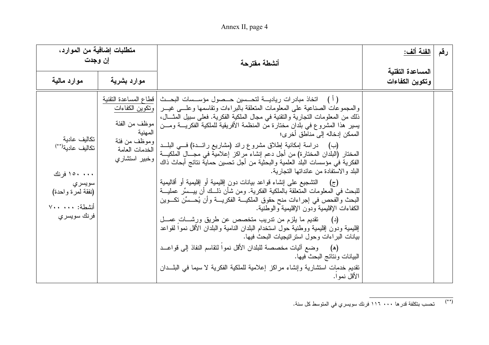## Annex II, page 4

| متطلبات إضافية من الموارد،<br>اِن وجدت                                                                           |                                                              | أنشطة مقترحة                                                                                                                                                                                                                                                                                                                                                                                                                                                                                                                                                                                                                                                                                                                                                                                                                                                                                                                                                                                                                                                                                                                                                                                                                                                                                                                                                                                                                                    | الفئة ألف:                          | رقم |
|------------------------------------------------------------------------------------------------------------------|--------------------------------------------------------------|-------------------------------------------------------------------------------------------------------------------------------------------------------------------------------------------------------------------------------------------------------------------------------------------------------------------------------------------------------------------------------------------------------------------------------------------------------------------------------------------------------------------------------------------------------------------------------------------------------------------------------------------------------------------------------------------------------------------------------------------------------------------------------------------------------------------------------------------------------------------------------------------------------------------------------------------------------------------------------------------------------------------------------------------------------------------------------------------------------------------------------------------------------------------------------------------------------------------------------------------------------------------------------------------------------------------------------------------------------------------------------------------------------------------------------------------------|-------------------------------------|-----|
| موارد مالية                                                                                                      | موارد بشرية                                                  |                                                                                                                                                                                                                                                                                                                                                                                                                                                                                                                                                                                                                                                                                                                                                                                                                                                                                                                                                                                                                                                                                                                                                                                                                                                                                                                                                                                                                                                 | المساعدة التقنية<br>وتكوين الكفاءات |     |
| تكاليف عادية<br>تكاليف عادية(**)<br>۱۵۰ ۱۵۰ فرنك<br>سويسري<br>(نفقة لمرة واحدة)<br>أنشطة: ٧٠٠ ٧٠٠<br>فرنك سويسري | المهنية<br> وموظف من فئة<br>الخدمات العامة<br> وخبیر استشاری | ( أ )     اتخاذ مبادر ات رياديــــة لتحــــسين حـــصول مؤســـسات البحـــث   قطاع المساعدة التقنية<br>والمجموعات الصناعية على المعلومات المتعلقة بالبراءات وتقاسمها وعلسى غيـــر  ونكوين الكفاءات<br>ذلك من المعلومات النجارية والنقنية في مجال الملكية الفكرية. فعلى سبيل المثـــال،<br>يسير  هذا المشروع في بلدان مختارة من المنظمة الأفريقية للملكية الفكريــــة ومـــن   موظف من الفئة<br>الممكن إدخاله إلى مناطق أخر ي؛<br>(ب)      دراسة إمكانية إطلاق مشروع رائد (مشاريع رائـــدة) فــــى البلـــد<br>المختار  (البلدان المختار ة) من أجل دعم إنشاء مر اكز  إعلامية في مجــــال الملكيــــة<br>الفكرية في مؤسسات البلد العلمية والبحثية من أجل تحسين حماية نتائج أبحاث ذاك<br>البلد والاستفادة من عائداتها النجارية.<br>(ج)     التشجيع على إنشاء قواعد بيانات دون إقليمية أو إقليمية أو أقاليمية<br>للبحث في المعلومات المتعلقة بالملكية الفكرية. ومن شأن ذلـــك أن ييـــسِّر عمليـــة<br>البحث والفحص في إجراءات منح حقوق الملكيـــة الفكريـــة وأن يُحـــسِّن تكـــوين<br>الكفاءات الإقليمية ودون الإقليمية والوطنية.<br>(د)      تقديم ما يلزم من تدريب متخصص عن طريق ورشــــات عصـــل<br>إقليمية ودون إقليمية ووطنية حول استخدام البلدان النامية والبلدان الأقل نموا لقواعد<br>بيانات البراءات وحول استراتيجيات البحث فيها.<br>(ه)     وضع أليات مخصصة للبلدان الأقل نموا لتقاسم النفاذ إلى قواعــد<br>البيانات ونتائج البحث فيها.<br>نقديم خدمات استشارية وإنشاء مراكز إعلامية للملكية الفكرية لا سيما في البلـــدان<br>الأقل نموا. |                                     |     |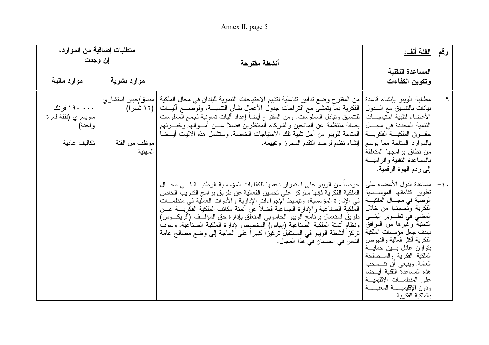Annex II, page 5

| متطلبات إضافية من الموارد،<br>إن وجدت                      |                          | أنشطة مقترحة                                                                                                                                                                                                                                                                                                                                                                                                                                                                                                                                                                                            | <u>الفئة ألف:</u>                                                                                                                                                                                                                                                                                                                                                                                                                                                      | رقم   |
|------------------------------------------------------------|--------------------------|---------------------------------------------------------------------------------------------------------------------------------------------------------------------------------------------------------------------------------------------------------------------------------------------------------------------------------------------------------------------------------------------------------------------------------------------------------------------------------------------------------------------------------------------------------------------------------------------------------|------------------------------------------------------------------------------------------------------------------------------------------------------------------------------------------------------------------------------------------------------------------------------------------------------------------------------------------------------------------------------------------------------------------------------------------------------------------------|-------|
| موارد مالية                                                | موارد بشرية              |                                                                                                                                                                                                                                                                                                                                                                                                                                                                                                                                                                                                         | المساعدة التقنية<br>وتكوين الكفاءات                                                                                                                                                                                                                                                                                                                                                                                                                                    |       |
| ۱۹۰۰۰۰ فرنك<br>سويسري (نفقة لمرة<br>واحدة)<br>تكاليف عادية | موظف من الفئة<br>المهنية | من المقتر ح وضـع تدابير تفاعلية لتقييم الاحتياجات التتموية للبلدان فـي مجال الملكية   منسق/خبير استشار ي<br>الفكرية بما يتمشى مع اقتراحات جدول الأعمال بشأن النتميـــة، ولوضــــع أليـــات   (١٢ شهرا)<br>للنتسيق ونبادل المعلومات. ومن المقترح أيضا إعداد أليات نعاونية لجمع المعلومات<br>بصفة منتظمة عن المانحين والشركاء المنتظرين فضلا عـــن أمـــوالـهم وخبــــرتـهم<br>المتاحة للويبو من أجل تلبية تلك الاحتياجات الخاصة. وستشمل هذه الآليات أيــضا<br>  إنشاء نظام لرصد النقدم المحرز ونقييمه.                                                                                                   | مطالبة الويبو بإنشاء قاعدة<br>بيانات بالنتسيق مع الـــدول<br>الأعضاء لتلبية احتياجسات<br>النتمية المحددة في مجـــال<br>حقسوق الملكيسة الفكريسة<br>بالموارد المتاحة مما يوسع<br>من نطاق بر امجها المتعلقة<br>بالمساعدة التقنية والر اميسة<br>إلى ردم الهوة الرقمية.                                                                                                                                                                                                     | $-9$  |
|                                                            |                          | حرصا من الويبو على استمرار دعمها للكفاءات المؤسسية الوطنيـــة فـــى مجـــال<br>الملكية الفكرية فإنها ستركز على تحسين الفعالية عن طريق برامج التدريب الخاص<br>في الإدارة المؤسسية، وتبسيط الإجراءاتِ الإداريةِ والأدوات العملية في منظمـــات<br>الملكية الصناعية والإدارة الجماعية فضلا عن أتمتة مكاتب الملكية الفكريسة عسن<br>  طريق استعمال برنامج الويبو الحاسوبي المتعلق بإدارة حق المؤلف (أفريكوس)<br> ونظام أتمتة الملكية الصناعية (إيباس) إلمخصصٍ لإدارة الملكية الصناعية. وسوفَ<br>تركز أنشطة الويبو في المستقبل تركيزًا كبيرًا على الحاجة إلى وضع مصالح عامة<br>الناس في الحسبان في هذا المجال. | مساعدة الدول الأعضاء على<br>نطوير كفاءاتها المؤســسية<br>الوطنية في مجــــال الملكيــــة<br>الفكرية وتحسينها من خلال<br>المضىي في نطـــوير البنــــي<br>التحتية وغيرها من المرافق<br>بهدف جعل مؤسسات الملكية<br>الفكر ية أكثر فعالية والنهوض<br>بنواز ن عادل بـــــين حمايــــة<br>الملكية الفكرية والمسصلحة<br>العامة. وينبغي أن نتـــسحب<br>هذه المساعدة النقنية أيــضا<br>على المنظمــــات الإقليميــــة<br>ودون الإقليميــــــة المعنيــــــة<br>بالملكية الفكرية. | $-1.$ |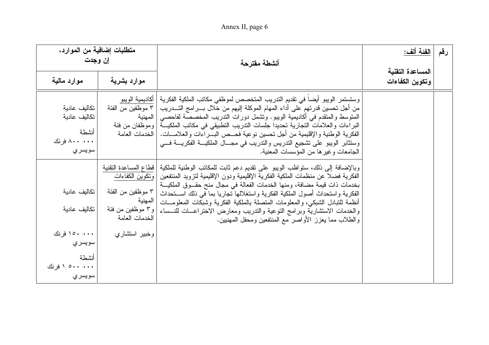# Annex II, page 6

| متطلبات إضافية من الموارد،<br>إن وجدت                           |                                                                                                | أنشطة مقترحة                                                                                                                                                                                                                                                                                                                                                                                                                                                                                                                                                                   | الفئة ألف:                          | رقم |
|-----------------------------------------------------------------|------------------------------------------------------------------------------------------------|--------------------------------------------------------------------------------------------------------------------------------------------------------------------------------------------------------------------------------------------------------------------------------------------------------------------------------------------------------------------------------------------------------------------------------------------------------------------------------------------------------------------------------------------------------------------------------|-------------------------------------|-----|
| موارد مالية                                                     | موارد بشرية                                                                                    |                                                                                                                                                                                                                                                                                                                                                                                                                                                                                                                                                                                | المساعدة التقنية<br>وتكوين الكفاءات |     |
| تكاليف عادية<br>تكاليف عادية<br>أنشطة<br>۸۰۰ ۸۰۰ فرنك<br>سويسري | أكاديمية الويبو<br>  ٣ موظفين من الفئة<br>المهنية                                              | وستستمر الويبو أيضا في تقديم التدريب المتخصص لموظفي مكاتب الملكية الفكرية<br>من أجل تحسين قدرتهم على أداء المهام الموكلة إليهم من خلال بــــرامج التــــدريب<br>المتوسط والمنقدم في أكاديمية الويبو . وتشمل دورات الندريب المخصصة لفاحصبي<br>البراءات والعلامات التجارية تحديدا جلسات التدريب التطبيقي في مكاتب الملكيـــة   وموظفان من فئة<br>الفكرية الوطنية والإقليمية من أجل تحسين نوعية فحـــص البــــراءات والعلامــــات.   الخدمات العامة<br>وستثابر الويبو على تشجيع التدريس والتدريب في مجـــال الملكيـــة الفكريــــة فــــي<br>الجامعات وغيرها من المؤسسات المعنية. |                                     |     |
| تكاليف عادية<br>تكاليف عادية                                    | قطاع المساعدة التقنية<br>٣ موظفين من الفئة<br>المهنية<br>  و ٣ موظفين من فئة<br>الخدمات العامة | وبالإضافة إلى ذلك، سنواظب الويبو على نقديم دعم ثابت للمكاتب الوطنية للملكية<br>الفكرية فضلا عن منظمات الملكية الفكرية الإقليمية ودون الإقليمية لتزويد المنتفعين   وتكوين الكفاءات<br>بخدمات ذات قيمة مضافة، ومنها الخدمات الفعالة في مجال منح حقـــوق الملكيـــة<br>الفكرية واستحداث أصول الملكية الفكرية واستغلالها تجاريا بما في ذلك اســـتحداث<br>أنظمة للتبادل الشبكي، والمعلومات المتصلة بالملكية الفكرية وشبكات المعلومـــات<br>والخدمات الاستشارية وبرامج التوعية والتدريب ومعارض الاختراعـــات للنـــساء<br>والطلاب مما يعزز الأواصر مع المنتفعين ومحفل المهنبين.      |                                     |     |
| ۱۰۰۰ ۱۵۰ فرنك<br>سويسري<br>أنشطة<br>۰۰۰ ۱۰۰ ۱ فرنك<br>سويسري    | وخبير استشاري                                                                                  |                                                                                                                                                                                                                                                                                                                                                                                                                                                                                                                                                                                |                                     |     |